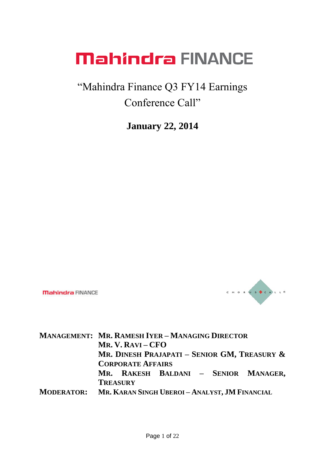#### "Mahindra Finance Q3 FY14 Earnings Conference Call"

**January 22, 2014**

**Mahindra FINANCE** 



**MANAGEMENT: MR. RAMESH IYER – MANAGING DIRECTOR MR. V. RAVI – CFO MR. DINESH PRAJAPATI – SENIOR GM, TREASURY & CORPORATE AFFAIRS MR. RAKESH BALDANI – SENIOR MANAGER, TREASURY MODERATOR: MR. KARAN SINGH UBEROI – ANALYST, JM FINANCIAL**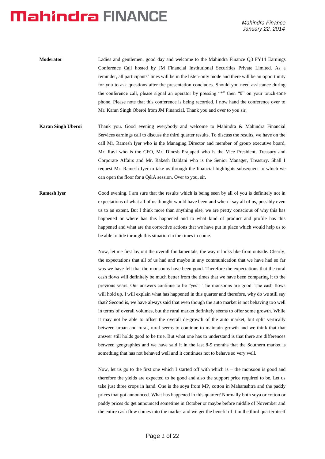| Moderator | Ladies and gentlemen, good day and welcome to the Mahindra Finance Q3 FY14 Earnings                |
|-----------|----------------------------------------------------------------------------------------------------|
|           | Conference Call hosted by JM Financial Institutional Securities Private Limited. As a              |
|           | reminder, all participants' lines will be in the listen-only mode and there will be an opportunity |
|           | for you to ask questions after the presentation concludes. Should you need assistance during       |
|           | the conference call, please signal an operator by pressing "*" then "0" on your touch-tone         |
|           | phone. Please note that this conference is being recorded. I now hand the conference over to       |
|           | Mr. Karan Singh Oberoi from JM Financial. Thank you and over to you sir.                           |

- **Karan Singh Uberoi** Thank you. Good evening everybody and welcome to Mahindra & Mahindra Financial Services earnings call to discuss the third quarter results. To discuss the results, we have on the call Mr. Ramesh Iyer who is the Managing Director and member of group executive board, Mr. Ravi who is the CFO, Mr. Dinesh Prajapati who is the Vice President, Treasury and Corporate Affairs and Mr. Rakesh Baldani who is the Senior Manager, Treasury. Shall I request Mr. Ramesh Iyer to take us through the financial highlights subsequent to which we can open the floor for a Q&A session. Over to you, sir.
- **Ramesh Iyer** Good evening. I am sure that the results which is being seen by all of you is definitely not in expectations of what all of us thought would have been and when I say all of us, possibly even us to an extent. But I think more than anything else, we are pretty conscious of why this has happened or where has this happened and to what kind of product and profile has this happened and what are the corrective actions that we have put in place which would help us to be able to tide through this situation in the times to come.

Now, let me first lay out the overall fundamentals, the way it looks like from outside. Clearly, the expectations that all of us had and maybe in any communication that we have had so far was we have felt that the monsoons have been good. Therefore the expectations that the rural cash flows will definitely be much better from the times that we have been comparing it to the previous years. Our answers continue to be "yes". The monsoons are good. The cash flows will hold up. I will explain what has happened in this quarter and therefore, why do we still say that? Second is, we have always said that even though the auto market is not behaving too well in terms of overall volumes, but the rural market definitely seems to offer some growth. While it may not be able to offset the overall de-growth of the auto market, but split vertically between urban and rural, rural seems to continue to maintain growth and we think that that answer still holds good to be true. But what one has to understand is that there are differences between geographies and we have said it in the last 8-9 months that the Southern market is something that has not behaved well and it continues not to behave so very well.

Now, let us go to the first one which I started off with which is – the monsoon is good and therefore the yields are expected to be good and also the support price required to be. Let us take just three crops in hand. One is the soya from MP, cotton in Maharashtra and the paddy prices that got announced. What has happened in this quarter? Normally both soya or cotton or paddy prices do get announced sometime in October or maybe before middle of November and the entire cash flow comes into the market and we get the benefit of it in the third quarter itself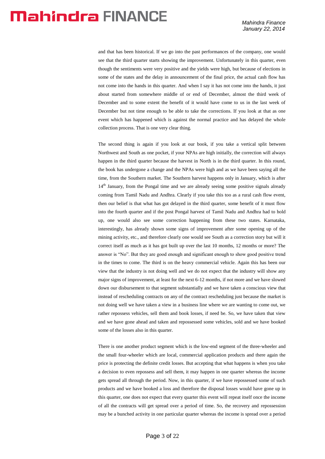and that has been historical. If we go into the past performances of the company, one would see that the third quarter starts showing the improvement. Unfortunately in this quarter, even though the sentiments were very positive and the yields were high, but because of elections in some of the states and the delay in announcement of the final price, the actual cash flow has not come into the hands in this quarter. And when I say it has not come into the hands, it just about started from somewhere middle of or end of December, almost the third week of December and to some extent the benefit of it would have come to us in the last week of December but not time enough to be able to take the corrections. If you look at that as one event which has happened which is against the normal practice and has delayed the whole collection process. That is one very clear thing.

The second thing is again if you look at our book, if you take a vertical split between Northwest and South as one pocket, if your NPAs are high initially, the correction will always happen in the third quarter because the harvest in North is in the third quarter. In this round, the book has undergone a change and the NPAs were high and as we have been saying all the time, from the Southern market. The Southern harvest happens only in January, which is after 14<sup>th</sup> January, from the Pongal time and we are already seeing some positive signals already coming from Tamil Nadu and Andhra. Clearly if you take this too as a rural cash flow event, then our belief is that what has got delayed in the third quarter, some benefit of it must flow into the fourth quarter and if the post Pongal harvest of Tamil Nadu and Andhra had to hold up, one would also see some correction happening from these two states. Karnataka, interestingly, has already shown some signs of improvement after some opening up of the mining activity, etc., and therefore clearly one would see South as a correction story but will it correct itself as much as it has got built up over the last 10 months, 12 months or more? The answer is "No". But they are good enough and significant enough to show good positive trend in the times to come. The third is on the heavy commercial vehicle. Again this has been our view that the industry is not doing well and we do not expect that the industry will show any major signs of improvement, at least for the next 6-12 months, if not more and we have slowed down our disbursement to that segment substantially and we have taken a conscious view that instead of rescheduling contracts on any of the contract rescheduling just because the market is not doing well we have taken a view in a business line where we are wanting to come out, we rather repossess vehicles, sell them and book losses, if need be. So, we have taken that view and we have gone ahead and taken and repossessed some vehicles, sold and we have booked some of the losses also in this quarter.

There is one another product segment which is the low-end segment of the three-wheeler and the small four-wheeler which are local, commercial application products and there again the price is protecting the definite credit losses. But accepting that what happens is when you take a decision to even repossess and sell them, it may happen in one quarter whereas the income gets spread all through the period. Now, in this quarter, if we have repossessed some of such products and we have booked a loss and therefore the disposal losses would have gone up in this quarter, one does not expect that every quarter this event will repeat itself once the income of all the contracts will get spread over a period of time. So, the recovery and repossession may be a bunched activity in one particular quarter whereas the income is spread over a period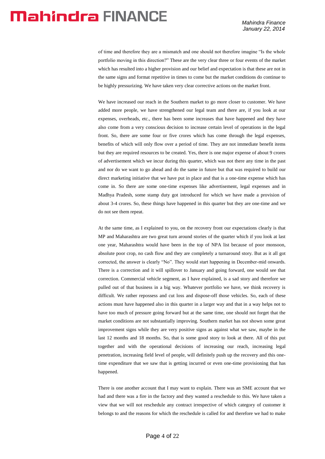of time and therefore they are a mismatch and one should not therefore imagine "Is the whole portfolio moving in this direction?" These are the very clear three or four events of the market which has resulted into a higher provision and our belief and expectation is that these are not in the same signs and format repetitive in times to come but the market conditions do continue to be highly pressurizing. We have taken very clear corrective actions on the market front.

We have increased our reach in the Southern market to go more closer to customer. We have added more people, we have strengthened our legal team and there are, if you look at our expenses, overheads, etc., there has been some increases that have happened and they have also come from a very conscious decision to increase certain level of operations in the legal front. So, there are some four or five crores which has come through the legal expenses, benefits of which will only flow over a period of time. They are not immediate benefit items but they are required resources to be created. Yes, there is one major expense of about 9 crores of advertisement which we incur during this quarter, which was not there any time in the past and nor do we want to go ahead and do the same in future but that was required to build our direct marketing initiative that we have put in place and that is a one-time expense which has come in. So there are some one-time expenses like advertisement, legal expenses and in Madhya Pradesh, some stamp duty got introduced for which we have made a provision of about 3-4 crores. So, these things have happened in this quarter but they are one-time and we do not see them repeat.

At the same time, as I explained to you, on the recovery front our expectations clearly is that MP and Maharashtra are two great turn around stories of the quarter which if you look at last one year, Maharashtra would have been in the top of NPA list because of poor monsoon, absolute poor crop, no cash flow and they are completely a turnaround story. But as it all got corrected, the answer is clearly "No". They would start happening in December-mid onwards. There is a correction and it will spillover to January and going forward, one would see that correction. Commercial vehicle segment, as I have explained, is a sad story and therefore we pulled out of that business in a big way. Whatever portfolio we have, we think recovery is difficult. We rather repossess and cut loss and dispose-off those vehicles. So, each of these actions must have happened also in this quarter in a larger way and that in a way helps not to have too much of pressure going forward but at the same time, one should not forget that the market conditions are not substantially improving. Southern market has not shown some great improvement signs while they are very positive signs as against what we saw, maybe in the last 12 months and 18 months. So, that is some good story to look at there. All of this put together and with the operational decisions of increasing our reach, increasing legal penetration, increasing field level of people, will definitely push up the recovery and this onetime expenditure that we saw that is getting incurred or even one-time provisioning that has happened.

There is one another account that I may want to explain. There was an SME account that we had and there was a fire in the factory and they wanted a reschedule to this. We have taken a view that we will not reschedule any contract irrespective of which category of customer it belongs to and the reasons for which the reschedule is called for and therefore we had to make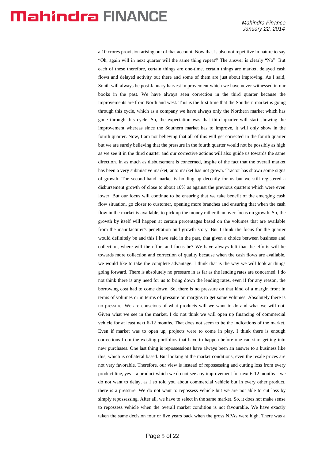a 10 crores provision arising out of that account. Now that is also not repetitive in nature to say "Oh, again will in next quarter will the same thing repeat?' The answer is clearly "No". But each of these therefore, certain things are one-time, certain things are market, delayed cash flows and delayed activity out there and some of them are just about improving. As I said, South will always be post January harvest improvement which we have never witnessed in our books in the past. We have always seen correction in the third quarter because the improvements are from North and west. This is the first time that the Southern market is going through this cycle, which as a company we have always only the Northern market which has gone through this cycle. So, the expectation was that third quarter will start showing the improvement whereas since the Southern market has to improve, it will only show in the fourth quarter. Now, I am not believing that all of this will get corrected in the fourth quarter but we are surely believing that the pressure in the fourth quarter would not be possibly as high as we see it in the third quarter and our corrective actions will also guide us towards the same direction. In as much as disbursement is concerned, inspite of the fact that the overall market has been a very submissive market, auto market has not grown. Tractor has shown some signs of growth. The second-hand market is holding up decently for us but we still registered a disbursement growth of close to about 10% as against the previous quarters which were even lower. But our focus will continue to be ensuring that we take benefit of the emerging cash flow situation, go closer to customer, opening more branches and ensuring that when the cash flow in the market is available, to pick up the money rather than over-focus on growth. So, the growth by itself will happen at certain percentages based on the volumes that are available from the manufacturer's penetration and growth story. But I think the focus for the quarter would definitely be and this I have said in the past, that given a choice between business and collection, where will the effort and focus be? We have always felt that the efforts will be towards more collection and correction of quality because when the cash flows are available, we would like to take the complete advantage. I think that is the way we will look at things going forward. There is absolutely no pressure in as far as the lending rates are concerned. I do not think there is any need for us to bring down the lending rates, even if for any reason, the borrowing cost had to come down. So, there is no pressure on that kind of a margin front in terms of volumes or in terms of pressure on margins to get some volumes. Absolutely there is no pressure. We are conscious of what products will we want to do and what we will not. Given what we see in the market, I do not think we will open up financing of commercial vehicle for at least next 6-12 months. That does not seem to be the indications of the market. Even if market was to open up, projects were to come in play, I think there is enough corrections from the existing portfolios that have to happen before one can start getting into new purchases. One last thing is repossessions have always been an answer to a business like this, which is collateral based. But looking at the market conditions, even the resale prices are not very favorable. Therefore, our view is instead of repossessing and cutting loss from every product line, yes – a product which we do not see any improvement for next 6-12 months – we do not want to delay, as I so told you about commercial vehicle but in every other product, there is a pressure. We do not want to repossess vehicle but we are not able to cut loss by simply repossessing. After all, we have to select in the same market. So, it does not make sense to repossess vehicle when the overall market condition is not favourable. We have exactly taken the same decision four or five years back when the gross NPAs were high. There was a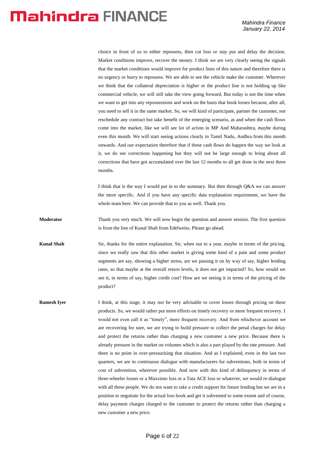choice in front of us to either repossess, then cut loss or stay put and delay the decision. Market conditions improve, recover the money. I think we are very clearly seeing the signals that the market conditions would improve for product lines of this nature and therefore there is no urgency or hurry to repossess. We are able to see the vehicle make the customer. Wherever we think that the collateral depreciation is higher or the product line is not holding up like commercial vehicle, we will still take the view going forward. But today is not the time when we want to get into any repossessions and work on the basis that book losses because, after all, you need to sell it in the same market. So, we will kind of participate, partner the customer, not reschedule any contract but take benefit of the emerging scenario, as and when the cash flows come into the market, like we will see lot of action in MP And Maharashtra, maybe during even this month. We will start seeing actions clearly in Tamil Nadu, Andhra from this month onwards. And our expectation therefore that if these cash flows do happen the way we look at it, we do see corrections happening but they will not be large enough to bring about all corrections that have got accumulated over the last 12 months to all get done in the next three months.

I think that is the way I would put in to the summary. But then through Q&A we can answer the more specific. And if you have any specific data explanation requirement, we have the whole team here. We can provide that to you as well. Thank you.

**Moderator** Thank you very much. We will now begin the question and answer session. The first question is from the line of Kunal Shah from Edelweiss. Please go ahead.

**Kunal Shah** Sir, thanks for the entire explanation. Sir, when out to a year, maybe in terms of the pricing, since we really saw that this other market is giving some kind of a pain and some product segments are say, showing a higher stress, are we passing it on by way of say, higher lending rates, so that maybe at the overall return levels, it does not get impacted? So, how would we see it, in terms of say, higher credit cost? How are we seeing it in terms of the pricing of the product?

**Ramesh Iyer** I think, at this stage, it may not be very advisable to cover losses through pricing on these products. So, we would rather put more efforts on timely recovery or more frequent recovery. I would not even call it as "timely", more frequent recovery. And from whichever account we are recovering for sure, we are trying to build pressure to collect the penal charges for delay and protect the returns rather than charging a new customer a new price. Because there is already pressure in the market on volumes which is also a part played by the rate pressure. And there is no point in over-pressurising that situation. And as I explained, even in the last two quarters, we are in continuous dialogue with manufacturers for subventions, both in terms of cost of subvention, wherever possible. And now with this kind of delinquency in terms of three-wheeler losses or a Maxximo loss or a Tata ACE loss or whatever, we would re-dialogue with all these people. We do not want to take a credit support for future lending but we are in a position to negotiate for the actual loss book and get it subvented to some extent and of course, delay payment charges charged to the customer to protect the returns rather than charging a new customer a new price.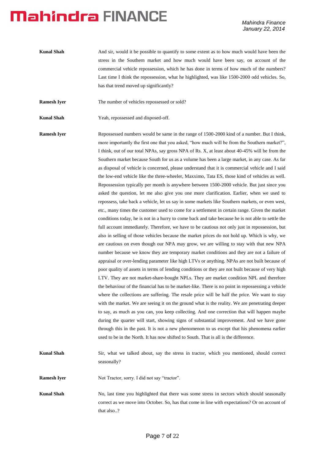- **Kunal Shah** And sir, would it be possible to quantify to some extent as to how much would have been the stress in the Southern market and how much would have been say, on account of the commercial vehicle repossession, which he has done in terms of how much of the numbers? Last time I think the repossession, what he highlighted, was like 1500-2000 odd vehicles. So, has that trend moved up significantly?
- **Ramesh Iyer** The number of vehicles repossessed or sold?
- **Kunal Shah** Yeah, repossessed and disposed-off.

**Ramesh Iyer** Repossessed numbers would be same in the range of 1500-2000 kind of a number. But I think, more importantly the first one that you asked, "how much will be from the Southern market?", I think, out of our total NPAs, say gross NPA of Rs. X, at least about 40-45% will be from the Southern market because South for us as a volume has been a large market, in any case. As far as disposal of vehicle is concerned, please understand that it is commercial vehicle and I said the low-end vehicle like the three-wheeler, Maxximo, Tata ES, those kind of vehicles as well. Repossession typically per month is anywhere between 1500-2000 vehicle. But just since you asked the question, let me also give you one more clarification. Earlier, when we used to repossess, take back a vehicle, let us say in some markets like Southern markets, or even west, etc., many times the customer used to come for a settlement in certain range. Given the market conditions today, he is not in a hurry to come back and take because he is not able to settle the full account immediately. Therefore, we have to be cautious not only just in repossession, but also in selling of those vehicles because the market prices do not hold up. Which is why, we are cautious on even though our NPA may grow, we are willing to stay with that new NPA number because we know they are temporary market conditions and they are not a failure of appraisal or over-lending parameter like high LTVs or anything. NPAs are not built because of poor quality of assets in terms of lending conditions or they are not built because of very high LTV. They are not market-share-bought NPLs. They are market condition NPL and therefore the behaviour of the financial has to be market-like. There is no point in repossessing a vehicle where the collections are suffering. The resale price will be half the price. We want to stay with the market. We are seeing it on the ground what is the reality. We are penetrating deeper to say, as much as you can, you keep collecting. And one correction that will happen maybe during the quarter will start, showing signs of substantial improvement. And we have gone through this in the past. It is not a new phenomenon to us except that his phenomena earlier used to be in the North. It has now shifted to South. That is all is the difference.

**Kunal Shah** Sir, what we talked about, say the stress in tractor, which you mentioned, should correct seasonally?

**Ramesh Iyer** Not Tractor, sorry. I did not say "tractor".

**Kunal Shah** No, last time you highlighted that there was some stress in sectors which should seasonally correct as we move into October. So, has that come in line with expectations? Or on account of that also..?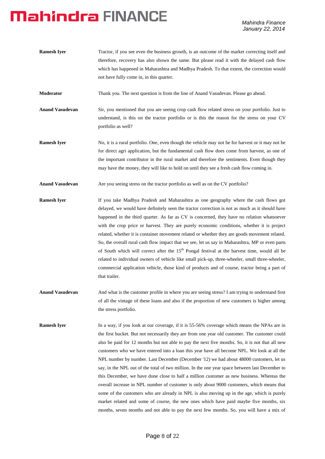| <b>Ramesh Iyer</b>     | Tractor, if you see even the business growth, is an outcome of the market correcting itself and<br>therefore, recovery has also shown the same. But please read it with the delayed cash flow<br>which has happened in Maharashtra and Madhya Pradesh. To that extent, the correction would<br>not have fully come in, in this quarter.                                                        |
|------------------------|------------------------------------------------------------------------------------------------------------------------------------------------------------------------------------------------------------------------------------------------------------------------------------------------------------------------------------------------------------------------------------------------|
| Moderator              | Thank you. The next question is from the line of Anand Vasudevan. Please go ahead.                                                                                                                                                                                                                                                                                                             |
| <b>Anand Vasudevan</b> | Sir, you mentioned that you are seeing crop cash flow related stress on your portfolio. Just to<br>understand, is this on the tractor portfolio or is this the reason for the stress on your CV<br>portfolio as well?                                                                                                                                                                          |
| <b>Ramesh Iyer</b>     | No, it is a rural portfolio. One, even though the vehicle may not be for harvest or it may not be<br>for direct agri application, but the fundamental cash flow does come from harvest, as one of<br>the important contributor in the rural market and therefore the sentiments. Even though they<br>may have the money, they will like to hold on until they see a fresh cash flow coming in. |
| <b>Anand Vasudevan</b> | Are you seeing stress on the tractor portfolio as well as on the CV portfolio?                                                                                                                                                                                                                                                                                                                 |
| <b>Ramesh Iyer</b>     | If you take Madhya Pradesh and Maharashtra as one geography where the cash flows got<br>delayed, we would have definitely seen the tractor correction is not as much as it should have<br>happened in the third quarter. As far as CV is concerned, they have no relation whatsoever                                                                                                           |

happened in the third quarter. As far as CV is concerned, they have no relation whatsoever with the crop price or harvest. They are purely economic conditions, whether it is project related, whether it is container movement related or whether they are goods movement related. So, the overall rural cash flow impact that we see, let us say in Maharashtra, MP or even parts of South which will correct after the  $15<sup>th</sup>$  Pongal festival at the harvest time, would all be related to individual owners of vehicle like small pick-up, three-wheeler, small three-wheeler, commercial application vehicle, those kind of products and of course, tractor being a part of that trailer.

Anand Vasudevan And what is the customer profile in where you are seeing stress? I am trying to understand first of all the vintage of these loans and also if the proportion of new customers is higher among the stress portfolio.

**Ramesh Iyer** In a way, if you look at our coverage, if it is 55-56% coverage which means the NPAs are in the first bucket. But not necessarily they are from one year old customer. The customer could also be paid for 12 months but not able to pay the next five months. So, it is not that all new customers who we have entered into a loan this year have all become NPL. We look at all the NPL number by number. Last December (December '12) we had about 48000 customers, let us say, in the NPL out of the total of two million. In the one year space between last December to this December, we have done close to half a million customer as new business. Whereas the overall increase in NPL number of customer is only about 9000 customers, which means that some of the customers who are already in NPL is also moving up in the age, which is purely market related and some of course, the new ones which have paid maybe five months, six months, seven months and not able to pay the next few months. So, you will have a mix of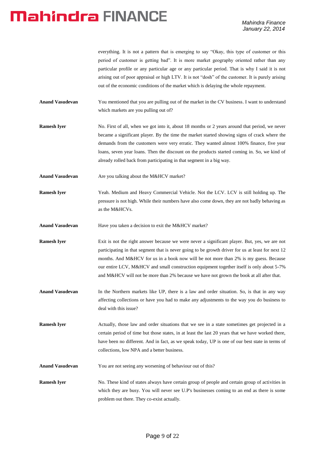everything. It is not a pattern that is emerging to say "Okay, this type of customer or this period of customer is getting bad". It is more market geography oriented rather than any particular profile or any particular age or any particular period. That is why I said it is not arising out of poor appraisal or high LTV. It is not "dosh" of the customer. It is purely arising out of the economic conditions of the market which is delaying the whole repayment.

- **Anand Vasudevan** You mentioned that you are pulling out of the market in the CV business. I want to understand which markets are you pulling out of?
- **Ramesh Iyer** No. First of all, when we got into it, about 18 months or 2 years around that period, we never became a significant player. By the time the market started showing signs of crack where the demands from the customers were very erratic. They wanted almost 100% finance, five year loans, seven year loans. Then the discount on the products started coming in. So, we kind of already rolled back from participating in that segment in a big way.
- **Anand Vasudevan** Are you talking about the M&HCV market?
- **Ramesh Iyer** Yeah. Medium and Heavy Commercial Vehicle. Not the LCV. LCV is still holding up. The pressure is not high. While their numbers have also come down, they are not badly behaving as as the M&HCVs.
- Anand Vasudevan Have you taken a decision to exit the M&HCV market?
- **Ramesh Iyer** Exit is not the right answer because we were never a significant player. But, yes, we are not participating in that segment that is never going to be growth driver for us at least for next 12 months. And M&HCV for us in a book now will be not more than 2% is my guess. Because our entire LCV, M&HCV and small construction equipment together itself is only about 5-7% and M&HCV will not be more than 2% because we have not grown the book at all after that.
- **Anand Vasudevan** In the Northern markets like UP, there is a law and order situation. So, is that in any way affecting collections or have you had to make any adjustments to the way you do business to deal with this issue?
- **Ramesh Iyer** Actually, those law and order situations that we see in a state sometimes get projected in a certain period of time but those states, in at least the last 20 years that we have worked there, have been no different. And in fact, as we speak today, UP is one of our best state in terms of collections, low NPA and a better business.
- Anand Vasudevan You are not seeing any worsening of behaviour out of this?
- **Ramesh Iyer** No. These kind of states always have certain group of people and certain group of activities in which they are busy. You will never see U.P's businesses coming to an end as there is some problem out there. They co-exist actually.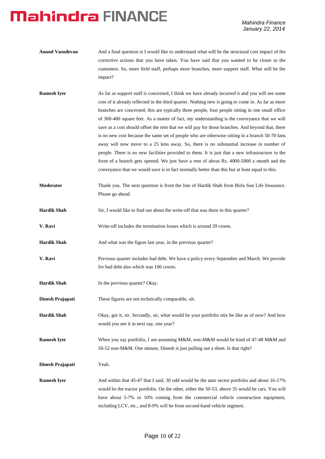- **Anand Vasudevan** And a final question is I would like to understand what will be the structural cost impact of the corrective actions that you have taken. You have said that you wanted to be closer to the customers. So, more field staff, perhaps more branches, more support staff. What will be the impact?
- **Ramesh Iyer** As far as support staff is concerned, I think we have already incurred it and you will see some cost of it already reflected in the third quarter. Nothing new is going to come in. As far as more branches are concerned, this are typically three people, four people sitting in one small office of 300-400 square feet. As a matter of fact, my understanding is the conveyance that we will save as a cost should offset the rent that we will pay for those branches. And beyond that, there is no new cost because the same set of people who are otherwise sitting in a branch 50-70 kms away will now move to a 25 kms away. So, there is no substantial increase in number of people. There is no new facilities provided to them. It is just that a new infrastructure in the form of a branch gets opened. We just have a rent of about Rs. 4000-5000 a month and the conveyance that we would save is in fact normally better than this but at least equal to this.
- **Moderator** Thank you. The next question is from the line of Hardik Shah from Birla Sun Life Insurance. Please go ahead.
- **Hardik Shah** Sir, I would like to find out about the write-off that was there in this quarter?
- **V. Ravi** Write-off includes the termination losses which is around 39 crores.
- Hardik Shah And what was the figure last year, in the previous quarter?
- **V. Ravi** Previous quarter includes bad debt. We have a policy every September and March. We provide for bad debt also which was 106 crores.
- **Hardik Shah** In the previous quarter? Okay.
- **Dinesh Prajapati** These figures are not technically comparable, uh.
- **Hardik Shah** Okay, got it, sir. Secondly, sir, what would be your portfolio mix be like as of now? And how would you see it in next say, one year?
- **Ramesh Iyer** When you say portfolio, I am assuming M&M, non-M&M would be kind of 47-48 M&M and 50-52 non-M&M. One minute, Dinesh is just pulling out a sheet. Is that right?
- **Dinesh Prajapati** Yeah.
- **Ramesh Iyer** And within that 45-47 that I said, 30 odd would be the auto sector portfolio and about 16-17% would be the tractor portfolio. On the other, either the 50-53, above 35 would be cars. You will have about 5-7% or 10% coming from the commercial vehicle construction equipment, including LCV, etc., and 8-9% will be from second-hand vehicle segment.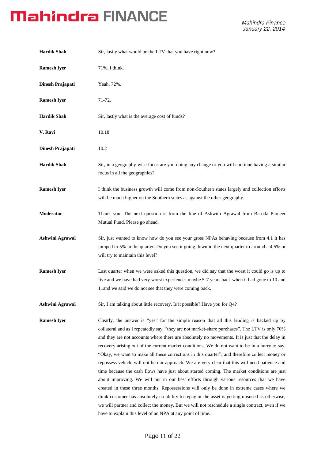| <b>Hardik Shah</b>     | Sir, lastly what would be the LTV that you have right now?                                                                                                                                                                                                                                                                                                                                                                                                                                                                                                                                                                                                                                                                                                                                                                                                                                                                                                                                                                                                                                                                                                  |
|------------------------|-------------------------------------------------------------------------------------------------------------------------------------------------------------------------------------------------------------------------------------------------------------------------------------------------------------------------------------------------------------------------------------------------------------------------------------------------------------------------------------------------------------------------------------------------------------------------------------------------------------------------------------------------------------------------------------------------------------------------------------------------------------------------------------------------------------------------------------------------------------------------------------------------------------------------------------------------------------------------------------------------------------------------------------------------------------------------------------------------------------------------------------------------------------|
| <b>Ramesh Iyer</b>     | 71%, I think.                                                                                                                                                                                                                                                                                                                                                                                                                                                                                                                                                                                                                                                                                                                                                                                                                                                                                                                                                                                                                                                                                                                                               |
| Dinesh Prajapati       | Yeah. 72%.                                                                                                                                                                                                                                                                                                                                                                                                                                                                                                                                                                                                                                                                                                                                                                                                                                                                                                                                                                                                                                                                                                                                                  |
| <b>Ramesh Iyer</b>     | 71-72.                                                                                                                                                                                                                                                                                                                                                                                                                                                                                                                                                                                                                                                                                                                                                                                                                                                                                                                                                                                                                                                                                                                                                      |
| <b>Hardik Shah</b>     | Sir, lastly what is the average cost of funds?                                                                                                                                                                                                                                                                                                                                                                                                                                                                                                                                                                                                                                                                                                                                                                                                                                                                                                                                                                                                                                                                                                              |
| V. Ravi                | 10.18                                                                                                                                                                                                                                                                                                                                                                                                                                                                                                                                                                                                                                                                                                                                                                                                                                                                                                                                                                                                                                                                                                                                                       |
| Dinesh Prajapati       | 10.2                                                                                                                                                                                                                                                                                                                                                                                                                                                                                                                                                                                                                                                                                                                                                                                                                                                                                                                                                                                                                                                                                                                                                        |
| <b>Hardik Shah</b>     | Sir, in a geography-wise focus are you doing any change or you will continue having a similar<br>focus in all the geographies?                                                                                                                                                                                                                                                                                                                                                                                                                                                                                                                                                                                                                                                                                                                                                                                                                                                                                                                                                                                                                              |
| <b>Ramesh Iyer</b>     | I think the business growth will come from non-Southern states largely and collection efforts<br>will be much higher on the Southern states as against the other geography.                                                                                                                                                                                                                                                                                                                                                                                                                                                                                                                                                                                                                                                                                                                                                                                                                                                                                                                                                                                 |
| Moderator              | Thank you. The next question is from the line of Ashwini Agrawal from Baroda Pioneer<br>Mutual Fund. Please go ahead.                                                                                                                                                                                                                                                                                                                                                                                                                                                                                                                                                                                                                                                                                                                                                                                                                                                                                                                                                                                                                                       |
| <b>Ashwini Agrawal</b> | Sir, just wanted to know how do you see your gross NPAs behaving because from 4.1 it has<br>jumped to 5% in the quarter. Do you see it going down in the next quarter to around a 4.5% or<br>will try to maintain this level?                                                                                                                                                                                                                                                                                                                                                                                                                                                                                                                                                                                                                                                                                                                                                                                                                                                                                                                               |
| <b>Ramesh Iyer</b>     | Last quarter when we were asked this question, we did say that the worst it could go is up to<br>five and we have had very worst experiences maybe 5-7 years back when it had gone to 10 and<br>11 and we said we do not see that they were coming back.                                                                                                                                                                                                                                                                                                                                                                                                                                                                                                                                                                                                                                                                                                                                                                                                                                                                                                    |
| <b>Ashwini Agrawal</b> | Sir, I am talking about little recovery. Is it possible? Have you for Q4?                                                                                                                                                                                                                                                                                                                                                                                                                                                                                                                                                                                                                                                                                                                                                                                                                                                                                                                                                                                                                                                                                   |
| <b>Ramesh Iyer</b>     | Clearly, the answer is "yes" for the simple reason that all this lending is backed up by<br>collateral and as I repeatedly say, "they are not market-share purchases". The LTV is only 70%<br>and they are not accounts where there are absolutely no movements. It is just that the delay in<br>recovery arising out of the current market conditions. We do not want to be in a hurry to say,<br>"Okay, we want to make all these corrections in this quarter", and therefore collect money or<br>repossess vehicle will not be our approach. We are very clear that this will need patience and<br>time because the cash flows have just about started coming. The market conditions are just<br>about improving. We will put in our best efforts through various resources that we have<br>created in these three months. Repossessions will only be done in extreme cases where we<br>think customer has absolutely no ability to repay or the asset is getting misused as otherwise,<br>we will partner and collect the money. But we will not reschedule a single contract, even if we<br>have to explain this level of an NPA at any point of time. |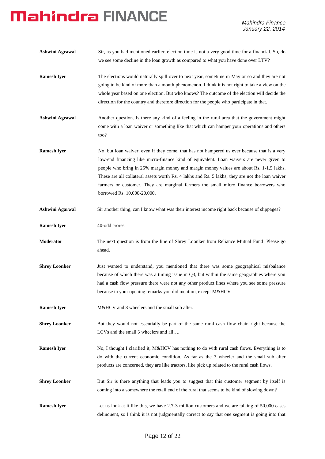| <b>Ashwini Agrawal</b> | Sir, as you had mentioned earlier, election time is not a very good time for a financial. So, do<br>we see some decline in the loan growth as compared to what you have done over LTV?                                                                                                                                                                                                                                                                                                                        |
|------------------------|---------------------------------------------------------------------------------------------------------------------------------------------------------------------------------------------------------------------------------------------------------------------------------------------------------------------------------------------------------------------------------------------------------------------------------------------------------------------------------------------------------------|
| <b>Ramesh Iyer</b>     | The elections would naturally spill over to next year, sometime in May or so and they are not<br>going to be kind of more than a month phenomenon. I think it is not right to take a view on the<br>whole year based on one election. But who knows? The outcome of the election will decide the<br>direction for the country and therefore direction for the people who participate in that.                                                                                                                 |
| <b>Ashwini Agrawal</b> | Another question. Is there any kind of a feeling in the rural area that the government might<br>come with a loan waiver or something like that which can hamper your operations and others<br>too?                                                                                                                                                                                                                                                                                                            |
| <b>Ramesh Iyer</b>     | No, but loan waiver, even if they come, that has not hampered us ever because that is a very<br>low-end financing like micro-finance kind of equivalent. Loan waivers are never given to<br>people who bring in 25% margin money and margin money values are about Rs. 1-1.5 lakhs.<br>These are all collateral assets worth Rs. 4 lakhs and Rs. 5 lakhs; they are not the loan waiver<br>farmers or customer. They are marginal farmers the small micro finance borrowers who<br>borrowed Rs. 10,000-20,000. |
| <b>Ashwini Agarwal</b> | Sir another thing, can I know what was their interest income right back because of slippages?                                                                                                                                                                                                                                                                                                                                                                                                                 |
| <b>Ramesh Iyer</b>     | 40-odd crores.                                                                                                                                                                                                                                                                                                                                                                                                                                                                                                |
| Moderator              | The next question is from the line of Shrey Loonker from Reliance Mutual Fund. Please go<br>ahead.                                                                                                                                                                                                                                                                                                                                                                                                            |
| <b>Shrey Loonker</b>   | Just wanted to understand, you mentioned that there was some geographical misbalance<br>because of which there was a timing issue in $Q3$ , but within the same geographies where you<br>had a cash flow pressure there were not any other product lines where you see some pressure<br>because in your opening remarks you did mention, except M&HCV                                                                                                                                                         |
| <b>Ramesh Iyer</b>     | M&HCV and 3 wheelers and the small sub after.                                                                                                                                                                                                                                                                                                                                                                                                                                                                 |
| <b>Shrey Loonker</b>   | But they would not essentially be part of the same rural cash flow chain right because the<br>LCVs and the small 3 wheelers and all                                                                                                                                                                                                                                                                                                                                                                           |
| <b>Ramesh Iyer</b>     | No, I thought I clarified it, M&HCV has nothing to do with rural cash flows. Everything is to<br>do with the current economic condition. As far as the 3 wheeler and the small sub after<br>products are concerned, they are like tractors, like pick up related to the rural cash flows.                                                                                                                                                                                                                     |
| <b>Shrey Loonker</b>   | But Sir is there anything that leads you to suggest that this customer segment by itself is<br>coming into a somewhere the retail end of the rural that seems to be kind of slowing down?                                                                                                                                                                                                                                                                                                                     |
| <b>Ramesh Iyer</b>     | Let us look at it like this, we have $2.7-3$ million customers and we are talking of $50,000$ cases<br>delinquent, so I think it is not judgmentally correct to say that one segment is going into that                                                                                                                                                                                                                                                                                                       |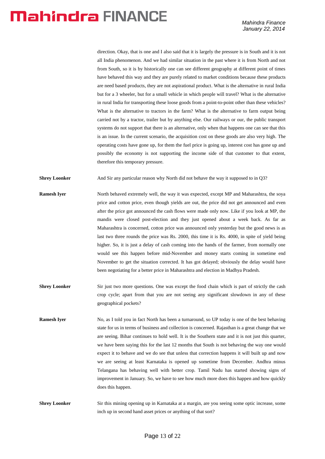direction. Okay, that is one and I also said that it is largely the pressure is in South and it is not all India phenomenon. And we had similar situation in the past where it is from North and not from South, so it is by historically one can see different geography at different point of times have behaved this way and they are purely related to market conditions because these products are need based products, they are not aspirational product. What is the alternative in rural India but for a 3 wheeler, but for a small vehicle in which people will travel? What is the alternative in rural India for transporting these loose goods from a point-to-point other than these vehicles? What is the alternative to tractors in the farm? What is the alternative to farm output being carried not by a tractor, trailer but by anything else. Our railways or our, the public transport systems do not support that there is an alternative, only when that happens one can see that this is an issue. In the current scenario, the acquisition cost on these goods are also very high. The operating costs have gone up, for them the fuel price is going up, interest cost has gone up and possibly the economy is not supporting the income side of that customer to that extent, therefore this temporary pressure.

**Shrey Loonker** And Sir any particular reason why North did not behave the way it supposed to in Q3?

- **Ramesh Iyer** North behaved extremely well, the way it was expected, except MP and Maharashtra, the soya price and cotton price, even though yields are out, the price did not get announced and even after the price got announced the cash flows were made only now. Like if you look at MP, the mandis were closed post-election and they just opened about a week back. As far as Maharashtra is concerned, cotton price was announced only yesterday but the good news is as last two three rounds the price was Rs. 2000, this time it is Rs. 4000, in spite of yield being higher. So, it is just a delay of cash coming into the hands of the farmer, from normally one would see this happen before mid-November and money starts coming in sometime end November to get the situation corrected. It has got delayed; obviously the delay would have been negotiating for a better price in Maharashtra and election in Madhya Pradesh.
- **Shrey Loonker** Sir just two more questions. One was except the food chain which is part of strictly the cash crop cycle; apart from that you are not seeing any significant slowdown in any of these geographical pockets?
- **Ramesh Iyer** No, as I told you in fact North has been a turnaround, so UP today is one of the best behaving state for us in terms of business and collection is concerned. Rajasthan is a great change that we are seeing. Bihar continues to hold well. It is the Southern state and it is not just this quarter, we have been saying this for the last 12 months that South is not behaving the way one would expect it to behave and we do see that unless that correction happens it will built up and now we are seeing at least Karnataka is opened up sometime from December. Andhra minus Telangana has behaving well with better crop. Tamil Nadu has started showing signs of improvement in January. So, we have to see how much more does this happen and how quickly does this happen.
- **Shrey Loonker** Sir this mining opening up in Karnataka at a margin, are you seeing some optic increase, some inch up in second hand asset prices or anything of that sort?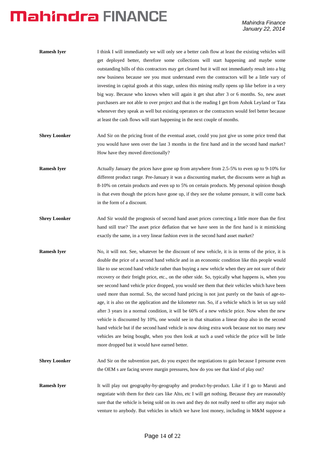| Ramesh Iver | I think I will immediately we will only see a better cash flow at least the existing vehicles will  |
|-------------|-----------------------------------------------------------------------------------------------------|
|             | get deployed better, therefore some collections will start happening and maybe some                 |
|             | outstanding bills of this contractors may get cleared but it will not immediately result into a big |
|             | new business because see you must understand even the contractors will be a little vary of          |
|             | investing in capital goods at this stage, unless this mining really opens up like before in a very  |
|             | big way. Because who knows when will again it get shut after 3 or 6 months. So, new asset           |
|             | purchasers are not able to over project and that is the reading I get from Ashok Leyland or Tata    |
|             | whenever they speak as well but existing operators or the contractors would feel better because     |
|             | at least the cash flows will start happening in the next couple of months.                          |

- **Shrey Loonker** And Sir on the pricing front of the eventual asset, could you just give us some price trend that you would have seen over the last 3 months in the first hand and in the second hand market? How have they moved directionally?
- **Ramesh Iyer** Actually January the prices have gone up from anywhere from 2.5-5% to even up to 9-10% for different product range. Pre-January it was a discounting market, the discounts were as high as 8-10% on certain products and even up to 5% on certain products. My personal opinion though is that even though the prices have gone up, if they see the volume pressure, it will come back in the form of a discount.
- **Shrey Loonker** And Sir would the prognosis of second hand asset prices correcting a little more than the first hand still true? The asset price deflation that we have seen in the first hand is it mimicking exactly the same, in a very linear fashion even in the second hand asset market?
- **Ramesh Iyer** No, it will not. See, whatever be the discount of new vehicle, it is in terms of the price, it is double the price of a second hand vehicle and in an economic condition like this people would like to use second hand vehicle rather than buying a new vehicle when they are not sure of their recovery or their freight price, etc., on the other side. So, typically what happens is, when you see second hand vehicle price dropped, you would see them that their vehicles which have been used more than normal. So, the second hand pricing is not just purely on the basis of age-toage, it is also on the application and the kilometer run. So, if a vehicle which is let us say sold after 3 years in a normal condition, it will be 60% of a new vehicle price. Now when the new vehicle is discounted by 10%, one would see in that situation a linear drop also in the second hand vehicle but if the second hand vehicle is now doing extra work because not too many new vehicles are being bought, when you then look at such a used vehicle the price will be little more dropped but it would have earned better.
- **Shrey Loonker** And Sir on the subvention part, do you expect the negotiations to gain because I presume even the OEM s are facing severe margin pressures, how do you see that kind of play out?
- **Ramesh Iver** It will play out geography-by-geography and product-by-product. Like if I go to Maruti and negotiate with them for their cars like Alto, etc I will get nothing. Because they are reasonably sure that the vehicle is being sold on its own and they do not really need to offer any major sub venture to anybody. But vehicles in which we have lost money, including in M&M suppose a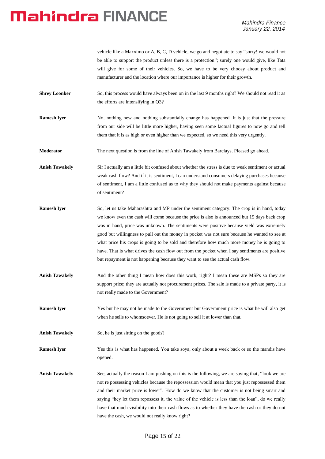vehicle like a Maxximo or A, B, C, D vehicle, we go and negotiate to say "sorry! we would not be able to support the product unless there is a protection"; surely one would give, like Tata will give for some of their vehicles. So, we have to be very choosy about product and manufacturer and the location where our importance is higher for their growth.

- **Shrey Loonker** So, this process would have always been on in the last 9 months right? We should not read it as the efforts are intensifying in Q3?
- **Ramesh Iyer** No, nothing new and nothing substantially change has happened. It is just that the pressure from our side will be little more higher, having seen some factual figures to now go and tell them that it is as high or even higher than we expected, so we need this very urgently.
- **Moderator** The next question is from the line of Anish Tawakely from Barclays. Pleased go ahead.

Anish Tawakely Sir I actually am a little bit confused about whether the stress is due to weak sentiment or actual weak cash flow? And if it is sentiment, I can understand consumers delaying purchases because of sentiment, I am a little confused as to why they should not make payments against because of sentiment?

- **Ramesh Iyer** So, let us take Maharashtra and MP under the sentiment category. The crop is in hand, today we know even the cash will come because the price is also is announced but 15 days back crop was in hand, price was unknown. The sentiments were positive because yield was extremely good but willingness to pull out the money in pocket was not sure because he wanted to see at what price his crops is going to be sold and therefore how much more money he is going to have. That is what drives the cash flow out from the pocket when I say sentiments are positive but repayment is not happening because they want to see the actual cash flow.
- Anish Tawakely And the other thing I mean how does this work, right? I mean these are MSPs so they are support price; they are actually not procurement prices. The sale is made to a private party, it is not really made to the Government?
- **Ramesh Iyer** Yes but he may not be made to the Government but Government price is what he will also get when he sells to whomsoever. He is not going to sell it at lower than that.
- Anish Tawakely So, he is just sitting on the goods?

**Ramesh Iyer** Yes this is what has happened. You take soya, only about a week back or so the mandis have opened.

**Anish Tawakely** See, actually the reason I am pushing on this is the following, we are saying that, "look we are not re possessing vehicles because the repossession would mean that you just repossessed them and their market price is lower". How do we know that the customer is not being smart and saying "hey let them repossess it, the value of the vehicle is less than the loan", do we really have that much visibility into their cash flows as to whether they have the cash or they do not have the cash, we would not really know right?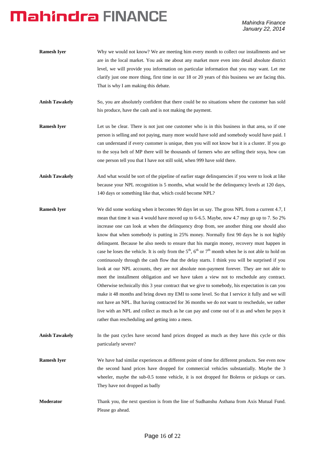| <b>Ramesh Iver</b> | Why we would not know? We are meeting him every month to collect our installments and we           |
|--------------------|----------------------------------------------------------------------------------------------------|
|                    | are in the local market. You ask me about any market more even into detail absolute district       |
|                    | level, we will provide you information on particular information that you may want. Let me         |
|                    | clarify just one more thing, first time in our 18 or 20 years of this business we are facing this. |
|                    | That is why I am making this debate.                                                               |

- **Anish Tawakely** So, you are absolutely confident that there could be no situations where the customer has sold his produce, have the cash and is not making the payment.
- **Ramesh Iyer** Let us be clear. There is not just one customer who is in this business in that area, so if one person is selling and not paying, many more would have sold and somebody would have paid. I can understand if every customer is unique, then you will not know but it is a cluster. If you go to the soya belt of MP there will be thousands of farmers who are selling their soya, how can one person tell you that I have not still sold, when 999 have sold there.
- **Anish Tawakely** And what would be sort of the pipeline of earlier stage delinquencies if you were to look at like because your NPL recognition is 5 months, what would be the delinquency levels at 120 days, 140 days or something like that, which could become NPL?
- **Ramesh Iyer** We did some working when it becomes 90 days let us say. The gross NPL from a current 4.7, I mean that time it was 4 would have moved up to 6-6.5. Maybe, now 4.7 may go up to 7. So 2% increase one can look at when the delinquency drop from, see another thing one should also know that when somebody is putting in 25% money. Normally first 90 days he is not highly delinquent. Because he also needs to ensure that his margin money, recovery must happen in case he loses the vehicle. It is only from the  $5<sup>th</sup>$ ,  $6<sup>th</sup>$  or  $7<sup>th</sup>$  month when he is not able to hold on continuously through the cash flow that the delay starts. I think you will be surprised if you look at our NPL accounts, they are not absolute non-payment forever. They are not able to meet the installment obligation and we have taken a view not to reschedule any contract. Otherwise technically this 3 year contract that we give to somebody, his expectation is can you make it 48 months and bring down my EMI to some level. So that I service it fully and we will not have an NPL. But having contracted for 36 months we do not want to reschedule, we rather live with an NPL and collect as much as he can pay and come out of it as and when he pays it rather than rescheduling and getting into a mess.
- **Anish Tawakely** In the past cycles have second hand prices dropped as much as they have this cycle or this particularly severe?
- **Ramesh Iyer** We have had similar experiences at different point of time for different products. See even now the second hand prices have dropped for commercial vehicles substantially. Maybe the 3 wheeler, maybe the sub-0.5 tonne vehicle, it is not dropped for Boleros or pickups or cars. They have not dropped as badly
- **Moderator** Thank you, the next question is from the line of Sudhanshu Asthana from Axis Mutual Fund. Please go ahead.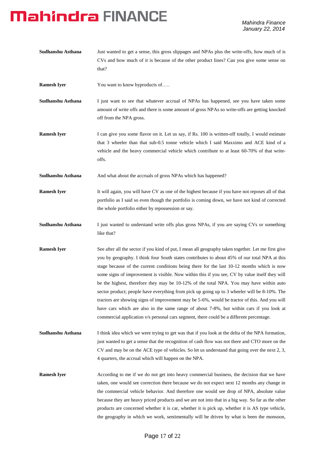| Sudhanshu Asthana  | Just wanted to get a sense, this gross slippages and NPAs plus the write-offs, how much of is<br>CVs and how much of it is because of the other product lines? Can you give some sense on<br>that?                                                                                                                                                                                                                                                                                                                                                                                                                                                                                                                                                                                                                                                                                       |
|--------------------|------------------------------------------------------------------------------------------------------------------------------------------------------------------------------------------------------------------------------------------------------------------------------------------------------------------------------------------------------------------------------------------------------------------------------------------------------------------------------------------------------------------------------------------------------------------------------------------------------------------------------------------------------------------------------------------------------------------------------------------------------------------------------------------------------------------------------------------------------------------------------------------|
| <b>Ramesh Iyer</b> | You want to know byproducts of                                                                                                                                                                                                                                                                                                                                                                                                                                                                                                                                                                                                                                                                                                                                                                                                                                                           |
| Sudhanshu Asthana  | I just want to see that whatever accrual of NPAs has happened, see you have taken some<br>amount of write offs and there is some amount of gross NPAs so write-offs are getting knocked<br>off from the NPA gross.                                                                                                                                                                                                                                                                                                                                                                                                                                                                                                                                                                                                                                                                       |
| <b>Ramesh Iyer</b> | I can give you some flavor on it. Let us say, if Rs. 100 is written-off totally, I would estimate<br>that 3 wheeler than that sub-0.5 tonne vehicle which I said Maxximo and ACE kind of a<br>vehicle and the heavy commercial vehicle which contribute to at least 60-70% of that write-<br>offs.                                                                                                                                                                                                                                                                                                                                                                                                                                                                                                                                                                                       |
| Sudhanshu Asthana  | And what about the accruals of gross NPAs which has happened?                                                                                                                                                                                                                                                                                                                                                                                                                                                                                                                                                                                                                                                                                                                                                                                                                            |
| <b>Ramesh Iyer</b> | It will again, you will have CV as one of the highest because if you have not reposes all of that<br>portfolio as I said so even though the portfolio is coming down, we have not kind of corrected<br>the whole portfolio either by repossession or say.                                                                                                                                                                                                                                                                                                                                                                                                                                                                                                                                                                                                                                |
| Sudhanshu Asthana  | I just wanted to understand write offs plus gross NPAs, if you are saying CVs or something<br>like that?                                                                                                                                                                                                                                                                                                                                                                                                                                                                                                                                                                                                                                                                                                                                                                                 |
| <b>Ramesh Iyer</b> | See after all the sector if you kind of put, I mean all geography taken together. Let me first give<br>you by geography. I think four South states contributes to about 45% of our total NPA at this<br>stage because of the current conditions being there for the last 10-12 months which is now<br>some signs of improvement is visible. Now within this if you see, CV by value itself they will<br>be the highest, therefore they may be 10-12% of the total NPA. You may have within auto<br>sector product; people have everything from pick up going up to 3 wheeler will be 8-10%. The<br>tractors are showing signs of improvement may be 5-6%, would be tractor of this. And you will<br>have cars which are also in the same range of about 7-8%, but within cars if you look at<br>commercial application v/s personal cars segment, there could be a different percentage. |
| Sudhanshu Asthana  | I think idea which we were trying to get was that if you look at the delta of the NPA formation,<br>just wanted to get a sense that the recognition of cash flow was not there and CTO more on the<br>CV and may be on the ACE type of vehicles. So let us understand that going over the next 2, 3,<br>4 quarters, the accrual which will happen on the NPA.                                                                                                                                                                                                                                                                                                                                                                                                                                                                                                                            |
| <b>Ramesh Iyer</b> | According to me if we do not get into heavy commercial business, the decision that we have<br>taken, one would see correction there because we do not expect next 12 months any change in<br>the commercial vehicle behavior. And therefore one would see drop of NPA, absolute value<br>because they are heavy priced products and we are not into that in a big way. So far as the other<br>products are concerned whether it is car, whether it is pick up, whether it is AS type vehicle,<br>the geography in which we work, sentimentally will be driven by what is been the monsoon,                                                                                                                                                                                                                                                                                               |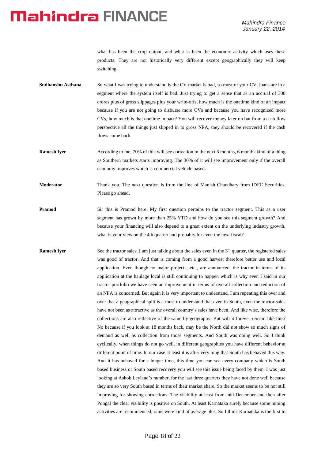what has been the crop output, and what is been the economic activity which uses these products. They are not historically very different except geographically they will keep switching.

- **Sudhanshu Asthana** So what I was trying to understand is the CV market is bad, so most of your CV, loans are in a segment where the system itself is bad. Just trying to get a sense that as an accrual of 300 crores plus of gross slippages plus your write-offs, how much is the onetime kind of an impact because if you are not going to disburse more CVs and because you have recognized more CVs, how much is that onetime impact? You will recover money later on but from a cash flow perspective all the things just slipped in to gross NPA, they should be recovered if the cash flows come back.
- **Ramesh Iyer** According to me, 70% of this will see correction in the next 3 months, 6 months kind of a thing as Southern markets starts improving. The 30% of it will see improvement only if the overall economy improves which is commercial vehicle based.
- **Moderator** Thank you. The next question is from the line of Manish Chaudhary from IDFC Securities. Please go ahead.
- **Pramod** Sir this is Pramod here. My first question pertains to the tractor segment. This as a user segment has grown by more than 25% YTD and how do you see this segment growth? And because your financing will also depend to a great extent on the underlying industry growth, what is your view on the 4th quarter and probably for even the next fiscal?
- **Ramesh Iver** See the tractor sales, I am just talking about the sales even in the  $3<sup>rd</sup>$  quarter, the registered sales was good of tractor. And that is coming from a good harvest therefore better use and local application. Even though no major projects, etc., are announced, the tractor in terms of its application at the haulage local is still continuing to happen which is why even I said in our tractor portfolio we have seen an improvement in terms of overall collection and reduction of an NPA is concerned. But again it is very important to understand. I am repeating this over and over that a geographical split is a must to understand that even in South, even the tractor sales have not been as attractive as the overall country's sales have been. And like wise, therefore the collections are also reflective of the same by geography. But will it forever remain like this? No because if you look at 18 months back, may be the North did not show so much signs of demand as well as collection from those segments. And South was doing well. So I think cyclically, when things do not go well, in different geographies you have different behavior at different point of time. In our case at least it is after very long that South has behaved this way. And it has behaved for a longer time, this time you can see every company which is South based business or South based recovery you will see this issue being faced by them. I was just looking at Ashok Leyland's number, for the last three quarters they have not done well because they are so very South based in terms of their market share. So the market seems to be not still improving for showing corrections. The visibility at least from mid-December and then after Pongal the clear visibility is positive on South. At least Karnataka surely because some mining activities are recommenced, rains were kind of average plus. So I think Karnataka is the first to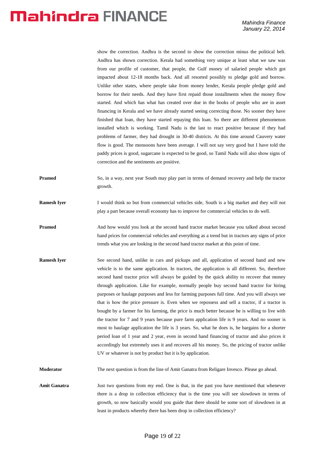show the correction. Andhra is the second to show the correction minus the political belt. Andhra has shown correction. Kerala had something very unique at least what we saw was from our profile of customer, that people, the Gulf money of salaried people which got impacted about 12-18 months back. And all resorted possibly to pledge gold and borrow. Unlike other states, where people take from money lender, Kerala people pledge gold and borrow for their needs. And they have first repaid those installments when the money flow started. And which has what has created over due in the books of people who are in asset financing in Kerala and we have already started seeing correcting those. No sooner they have finished that loan, they have started repaying this loan. So there are different phenomenon installed which is working. Tamil Nadu is the last to react positive because if they had problems of farmer, they had drought in 30-40 districts. At this time around Cauvery water flow is good. The monsoons have been average. I will not say very good but I have told the paddy prices is good, sugarcane is expected to be good, so Tamil Nadu will also show signs of correction and the sentiments are positive.

- **Pramod** So, in a way, next year South may play part in terms of demand recovery and help the tractor growth.
- **Ramesh Iyer** I would think so but from commercial vehicles side, South is a big market and they will not play a part because overall economy has to improve for commercial vehicles to do well.
- **Pramod** And how would you look at the second hand tractor market because you talked about second hand prices for commercial vehicles and everything as a trend but in tractors any signs of price trends what you are looking in the second hand tractor market at this point of time.
- **Ramesh Iyer** See second hand, unlike in cars and pickups and all, application of second hand and new vehicle is to the same application. In tractors, the application is all different. So, therefore second hand tractor price will always be guided by the quick ability to recover that money through application. Like for example, normally people buy second hand tractor for hiring purposes or haulage purposes and less for farming purposes full time. And you will always see that is how the price pressure is. Even when we repossess and sell a tractor, if a tractor is bought by a farmer for his farming, the price is much better because he is willing to live with the tractor for 7 and 9 years because pure farm application life is 9 years. And no sooner is most to haulage application the life is 3 years. So, what he does is, he bargains for a shorter period loan of 1 year and 2 year, even in second hand financing of tractor and also prices it accordingly but extremely uses it and recovers all his money. So, the pricing of tractor unlike UV or whatever is not by product but it is by application.

**Moderator** The next question is from the line of Amit Ganatra from Religare Invesco. Please go ahead.

**Amit Ganatra** Just two questions from my end. One is that, in the past you have mentioned that whenever there is a drop in collection efficiency that is the time you will see slowdown in terms of growth, so now basically would you guide that there should be some sort of slowdown in at least in products whereby there has been drop in collection efficiency?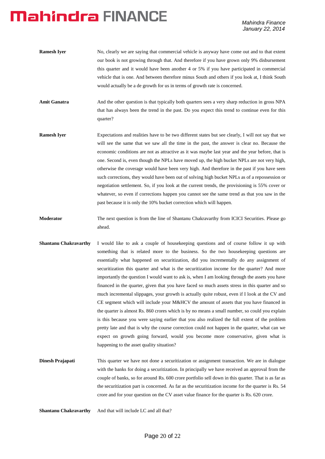- **Ramesh Iver** No, clearly we are saying that commercial vehicle is anyway have come out and to that extent our book is not growing through that. And therefore if you have grown only 9% disbursement this quarter and it would have been another 4 or 5% if you have participated in commercial vehicle that is one. And between therefore minus South and others if you look at, I think South would actually be a de growth for us in terms of growth rate is concerned.
- Amit Ganatra **And the other question is that typically both quarters sees a very sharp reduction in gross NPA** that has always been the trend in the past. Do you expect this trend to continue even for this quarter?
- **Ramesh Iyer** Expectations and realities have to be two different states but see clearly, I will not say that we will see the same that we saw all the time in the past, the answer is clear no. Because the economic conditions are not as attractive as it was maybe last year and the year before, that is one. Second is, even though the NPLs have moved up, the high bucket NPLs are not very high, otherwise the coverage would have been very high. And therefore in the past if you have seen such corrections, they would have been out of solving high bucket NPLs as of a repossession or negotiation settlement. So, if you look at the current trends, the provisioning is 55% cover or whatever, so even if corrections happen you cannot see the same trend as that you saw in the past because it is only the 10% bucket correction which will happen.
- **Moderator** The next question is from the line of Shantanu Chakravarthy from ICICI Securities. Please go ahead.
- **Shantanu Chakravarthy** I would like to ask a couple of housekeeping questions and of course follow it up with something that is related more to the business. So the two housekeeping questions are essentially what happened on securitization, did you incrementally do any assignment of securitization this quarter and what is the securitization income for the quarter? And more importantly the question I would want to ask is, when I am looking through the assets you have financed in the quarter, given that you have faced so much assets stress in this quarter and so much incremental slippages, your growth is actually quite robust, even if I look at the CV and CE segment which will include your M&HCV the amount of assets that you have financed in the quarter is almost Rs. 860 crores which is by no means a small number, so could you explain is this because you were saying earlier that you also realized the full extent of the problem pretty late and that is why the course correction could not happen in the quarter, what can we expect on growth going forward, would you become more conservative, given what is happening to the asset quality situation?
- **Dinesh Prajapati** This quarter we have not done a securitization or assignment transaction. We are in dialogue with the banks for doing a securitization. In principally we have received an approval from the couple of banks, so for around Rs. 600 crore portfolio sell down in this quarter. That is as far as the securitization part is concerned. As far as the securitization income for the quarter is Rs. 54 crore and for your question on the CV asset value finance for the quarter is Rs. 620 crore.

**Shantanu Chakravarthy** And that will include LC and all that?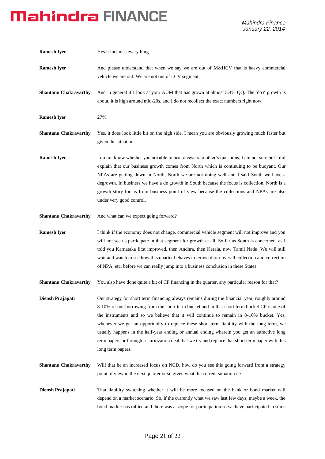| <b>Ramesh Iyer</b>           | Yes it includes everything.                                                                                                                                                                                                                                                                                                                                                                                                                                                                                                                                                                                        |
|------------------------------|--------------------------------------------------------------------------------------------------------------------------------------------------------------------------------------------------------------------------------------------------------------------------------------------------------------------------------------------------------------------------------------------------------------------------------------------------------------------------------------------------------------------------------------------------------------------------------------------------------------------|
| <b>Ramesh Iyer</b>           | And please understand that when we say we are out of M&HCV that is heavy commercial<br>vehicle we are out. We are not out of LCV segment.                                                                                                                                                                                                                                                                                                                                                                                                                                                                          |
| <b>Shantanu Chakravarthy</b> | And in general if I look at your AUM that has grown at almost 5.4% QQ. The YoY growth is<br>about, it is high around mid-20s, and I do not recollect the exact numbers right now.                                                                                                                                                                                                                                                                                                                                                                                                                                  |
| <b>Ramesh Iyer</b>           | 27%.                                                                                                                                                                                                                                                                                                                                                                                                                                                                                                                                                                                                               |
| <b>Shantanu Chakravarthy</b> | Yes, it does look little bit on the high side. I mean you are obviously growing much faster but<br>given the situation.                                                                                                                                                                                                                                                                                                                                                                                                                                                                                            |
| <b>Ramesh Iyer</b>           | I do not know whether you are able to hear answers to other's questions, I am not sure but I did<br>explain that our business growth comes from North which is continuing to be buoyant. Our<br>NPAs are getting down in North, North we are not doing well and I said South we have a<br>degrowth. In business we have a de growth in South because the focus is collection, North is a<br>growth story for us from business point of view because the collections and NPAs are also<br>under very good control.                                                                                                  |
| <b>Shantanu Chakravarthy</b> | And what can we expect going forward?                                                                                                                                                                                                                                                                                                                                                                                                                                                                                                                                                                              |
| <b>Ramesh Iyer</b>           | I think if the economy does not change, commercial vehicle segment will not improve and you<br>will not see us participate in that segment for growth at all. So far as South is concerned, as I<br>told you Karnataka first improved, then Andhra, then Kerala, now Tamil Nadu. We will still<br>wait and watch to see how this quarter behaves in terms of our overall collection and correction<br>of NPA, etc. before we can really jump into a business conclusion in these States.                                                                                                                           |
| <b>Shantanu Chakravarthy</b> | You also have done quite a bit of CP financing in the quarter, any particular reason for that?                                                                                                                                                                                                                                                                                                                                                                                                                                                                                                                     |
| Diensh Prajapati             | Our strategy for short term financing always remains during the financial year, roughly around<br>8-10% of our borrowing from the short term bucket and in that short term bucket CP is one of<br>the instruments and so we believe that it will continue to remain in 8-10% bucket. Yes,<br>whenever we get an opportunity to replace these short term liability with the long term, we<br>usually happens in the half-year ending or annual ending wherein you get an attractive long<br>term papers or through securitization deal that we try and replace that short term paper with this<br>long term papers. |
| <b>Shantanu Chakravarthy</b> | Will that be an increased focus on NCD, how do you see this going forward from a strategy<br>point of view in the next quarter or so given what the current situation is?                                                                                                                                                                                                                                                                                                                                                                                                                                          |
| Diensh Prajapati             | That liability switching whether it will be more focused on the bank or bond market will<br>depend on a market scenario. So, if the currently what we saw last few days, maybe a week, the<br>bond market has rallied and there was a scope for participation so we have participated in some                                                                                                                                                                                                                                                                                                                      |